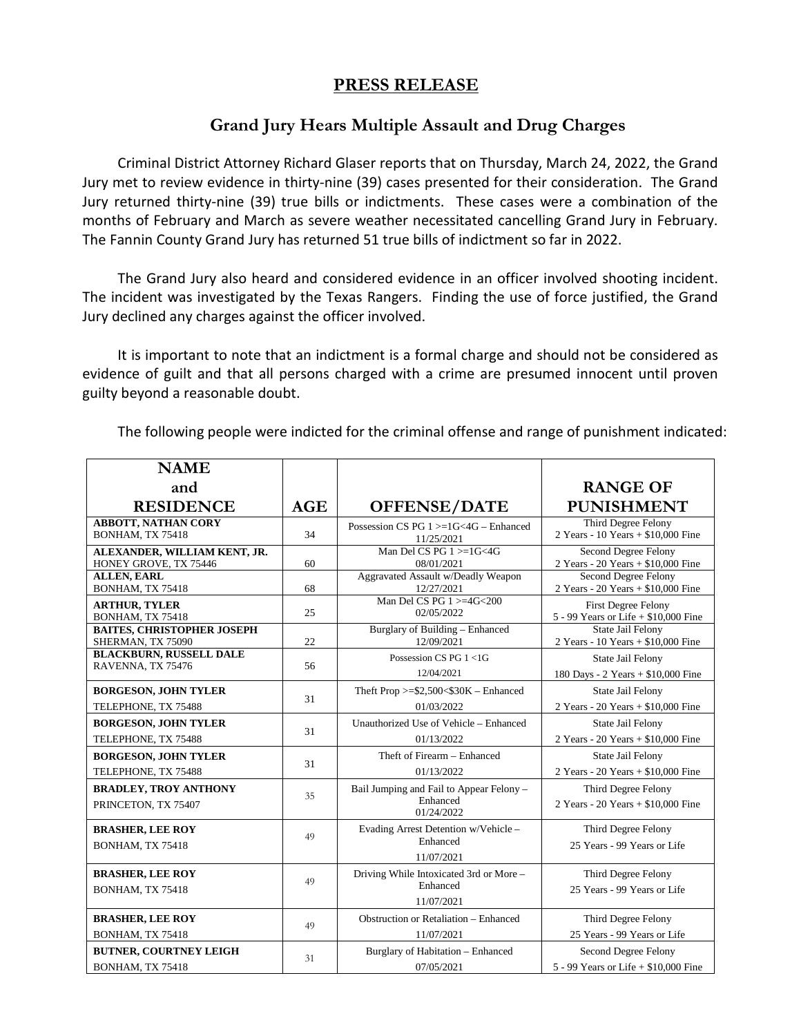## **PRESS RELEASE**

## **Grand Jury Hears Multiple Assault and Drug Charges**

Criminal District Attorney Richard Glaser reports that on Thursday, March 24, 2022, the Grand Jury met to review evidence in thirty-nine (39) cases presented for their consideration. The Grand Jury returned thirty-nine (39) true bills or indictments. These cases were a combination of the months of February and March as severe weather necessitated cancelling Grand Jury in February. The Fannin County Grand Jury has returned 51 true bills of indictment so far in 2022.

The Grand Jury also heard and considered evidence in an officer involved shooting incident. The incident was investigated by the Texas Rangers. Finding the use of force justified, the Grand Jury declined any charges against the officer involved.

It is important to note that an indictment is a formal charge and should not be considered as evidence of guilt and that all persons charged with a crime are presumed innocent until proven guilty beyond a reasonable doubt.

The following people were indicted for the criminal offense and range of punishment indicated:

| <b>NAME</b>                                         |     |                                                                    |                                                            |
|-----------------------------------------------------|-----|--------------------------------------------------------------------|------------------------------------------------------------|
| and                                                 |     |                                                                    | <b>RANGE OF</b>                                            |
| <b>RESIDENCE</b>                                    | AGE | <b>OFFENSE/DATE</b>                                                | <b>PUNISHMENT</b>                                          |
| <b>ABBOTT, NATHAN CORY</b>                          | 34  | Possession CS PG $1 > = 1$ G $< 4$ G $-$ Enhanced                  | Third Degree Felony                                        |
| BONHAM, TX 75418                                    |     | 11/25/2021                                                         | 2 Years - 10 Years + \$10,000 Fine                         |
| ALEXANDER, WILLIAM KENT, JR.                        | 60  | Man Del CS PG $1 \geq 1$ G<4G                                      | Second Degree Felony                                       |
| HONEY GROVE, TX 75446                               |     | 08/01/2021                                                         | 2 Years - 20 Years + \$10,000 Fine                         |
| <b>ALLEN, EARL</b>                                  | 68  | Aggravated Assault w/Deadly Weapon                                 | Second Degree Felony                                       |
| BONHAM, TX 75418                                    |     | 12/27/2021                                                         | 2 Years - 20 Years + \$10,000 Fine                         |
| <b>ARTHUR, TYLER</b>                                | 25  | Man Del CS PG $1 >=4$ G $<$ 200                                    | <b>First Degree Felony</b>                                 |
| BONHAM, TX 75418                                    |     | 02/05/2022                                                         | 5 - 99 Years or Life + \$10,000 Fine                       |
| <b>BAITES, CHRISTOPHER JOSEPH</b>                   | 22  | Burglary of Building - Enhanced                                    | State Jail Felony                                          |
| SHERMAN, TX 75090                                   |     | 12/09/2021                                                         | 2 Years - 10 Years + \$10,000 Fine                         |
| <b>BLACKBURN, RUSSELL DALE</b>                      | 56  | Possession CS PG 1 <1G                                             | State Jail Felony                                          |
| RAVENNA, TX 75476                                   |     | 12/04/2021                                                         | 180 Days - 2 Years + \$10,000 Fine                         |
| <b>BORGESON, JOHN TYLER</b>                         | 31  | Theft Prop $>= $2,500< $30K$ – Enhanced                            | State Jail Felony                                          |
| TELEPHONE, TX 75488                                 |     | 01/03/2022                                                         | 2 Years - 20 Years + \$10,000 Fine                         |
| <b>BORGESON, JOHN TYLER</b>                         | 31  | Unauthorized Use of Vehicle - Enhanced                             | <b>State Jail Felony</b>                                   |
| TELEPHONE, TX 75488                                 |     | 01/13/2022                                                         | 2 Years - 20 Years + \$10,000 Fine                         |
| <b>BORGESON, JOHN TYLER</b>                         | 31  | Theft of Firearm - Enhanced                                        | State Jail Felony                                          |
| TELEPHONE, TX 75488                                 |     | 01/13/2022                                                         | 2 Years - 20 Years + \$10,000 Fine                         |
| <b>BRADLEY, TROY ANTHONY</b><br>PRINCETON, TX 75407 | 35  | Bail Jumping and Fail to Appear Felony -<br>Enhanced<br>01/24/2022 | Third Degree Felony<br>2 Years - 20 Years + $$10,000$ Fine |
| <b>BRASHER, LEE ROY</b><br>BONHAM, TX 75418         | 49  | Evading Arrest Detention w/Vehicle -<br>Enhanced<br>11/07/2021     | Third Degree Felony<br>25 Years - 99 Years or Life         |
| <b>BRASHER, LEE ROY</b><br>BONHAM, TX 75418         | 49  | Driving While Intoxicated 3rd or More -<br>Enhanced<br>11/07/2021  | Third Degree Felony<br>25 Years - 99 Years or Life         |
| <b>BRASHER, LEE ROY</b>                             | 49  | Obstruction or Retaliation - Enhanced                              | Third Degree Felony                                        |
| BONHAM, TX 75418                                    |     | 11/07/2021                                                         | 25 Years - 99 Years or Life                                |
| <b>BUTNER, COURTNEY LEIGH</b>                       | 31  | Burglary of Habitation - Enhanced                                  | Second Degree Felony                                       |
| BONHAM, TX 75418                                    |     | 07/05/2021                                                         | 5 - 99 Years or Life $+$ \$10,000 Fine                     |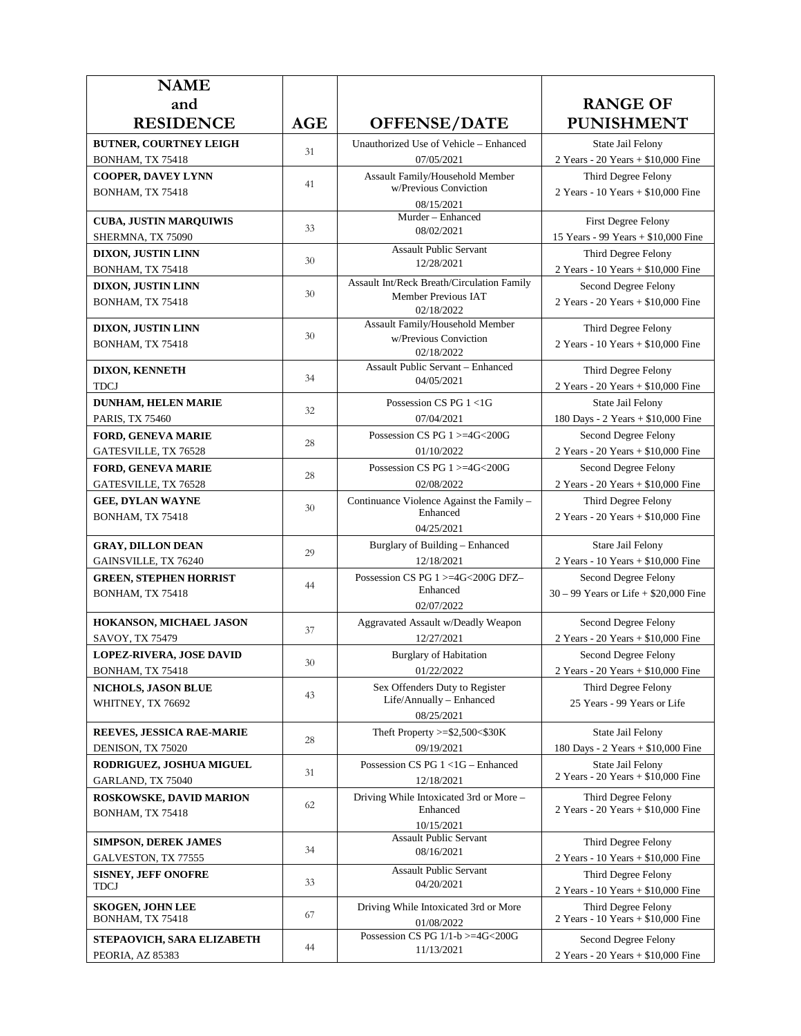| <b>NAME</b>                                        |            |                                               |                                                            |
|----------------------------------------------------|------------|-----------------------------------------------|------------------------------------------------------------|
| and                                                |            |                                               | <b>RANGE OF</b>                                            |
| <b>RESIDENCE</b>                                   | <b>AGE</b> | <b>OFFENSE/DATE</b>                           | <b>PUNISHMENT</b>                                          |
| <b>BUTNER, COURTNEY LEIGH</b>                      |            | Unauthorized Use of Vehicle - Enhanced        | State Jail Felony                                          |
| BONHAM, TX 75418                                   | 31         | 07/05/2021                                    | 2 Years - 20 Years + \$10,000 Fine                         |
| <b>COOPER, DAVEY LYNN</b>                          |            | Assault Family/Household Member               | Third Degree Felony                                        |
| BONHAM, TX 75418                                   | 41         | w/Previous Conviction                         | 2 Years - 10 Years + \$10,000 Fine                         |
|                                                    |            | 08/15/2021<br>Murder - Enhanced               |                                                            |
| <b>CUBA, JUSTIN MARQUIWIS</b>                      | 33         | 08/02/2021                                    | First Degree Felony                                        |
| SHERMNA, TX 75090                                  |            | <b>Assault Public Servant</b>                 | 15 Years - 99 Years + \$10,000 Fine                        |
| <b>DIXON, JUSTIN LINN</b><br>BONHAM, TX 75418      | 30         | 12/28/2021                                    | Third Degree Felony<br>2 Years - 10 Years + \$10,000 Fine  |
| <b>DIXON, JUSTIN LINN</b>                          |            | Assault Int/Reck Breath/Circulation Family    | Second Degree Felony                                       |
| BONHAM, TX 75418                                   | 30         | Member Previous IAT                           | 2 Years - 20 Years + \$10,000 Fine                         |
|                                                    |            | 02/18/2022<br>Assault Family/Household Member |                                                            |
| DIXON, JUSTIN LINN                                 | 30         | w/Previous Conviction                         | Third Degree Felony                                        |
| BONHAM, TX 75418                                   |            | 02/18/2022                                    | 2 Years - 10 Years + \$10,000 Fine                         |
| <b>DIXON, KENNETH</b>                              |            | Assault Public Servant - Enhanced             | Third Degree Felony                                        |
| <b>TDCJ</b>                                        | 34         | 04/05/2021                                    | 2 Years - 20 Years + \$10,000 Fine                         |
| <b>DUNHAM, HELEN MARIE</b>                         | 32         | Possession CS $PG 1 < 1G$                     | State Jail Felony                                          |
| <b>PARIS, TX 75460</b>                             |            | 07/04/2021                                    | 180 Days - 2 Years + \$10,000 Fine                         |
| <b>FORD, GENEVA MARIE</b>                          | 28         | Possession CS PG 1>=4G<200G                   | Second Degree Felony                                       |
| GATESVILLE, TX 76528                               |            | 01/10/2022                                    | 2 Years - 20 Years + \$10,000 Fine                         |
| <b>FORD, GENEVA MARIE</b>                          | 28         | Possession CS PG 1 >=4G<200G<br>02/08/2022    | Second Degree Felony<br>2 Years - 20 Years + \$10,000 Fine |
| GATESVILLE, TX 76528<br><b>GEE, DYLAN WAYNE</b>    |            | Continuance Violence Against the Family -     | Third Degree Felony                                        |
| BONHAM, TX 75418                                   | 30         | Enhanced                                      | 2 Years - 20 Years + \$10,000 Fine                         |
|                                                    |            | 04/25/2021                                    |                                                            |
| <b>GRAY, DILLON DEAN</b>                           | 29         | Burglary of Building - Enhanced               | Stare Jail Felony                                          |
| GAINSVILLE, TX 76240                               |            | 12/18/2021                                    | 2 Years - 10 Years + \$10,000 Fine                         |
| <b>GREEN, STEPHEN HORRIST</b>                      | 44         | Possession CS PG 1 >=4G<200G DFZ-<br>Enhanced | Second Degree Felony                                       |
| BONHAM, TX 75418                                   |            | 02/07/2022                                    | $30 - 99$ Years or Life + \$20,000 Fine                    |
| HOKANSON, MICHAEL JASON                            |            | Aggravated Assault w/Deadly Weapon            | Second Degree Felony                                       |
| SAVOY, TX 75479                                    | 37         | 12/27/2021                                    | 2 Years - 20 Years + \$10,000 Fine                         |
| <b>LOPEZ-RIVERA, JOSE DAVID</b>                    | 30         | <b>Burglary of Habitation</b>                 | Second Degree Felony                                       |
| BONHAM, TX 75418                                   |            | 01/22/2022                                    | 2 Years - 20 Years + \$10,000 Fine                         |
| NICHOLS, JASON BLUE                                | 43         | Sex Offenders Duty to Register                | Third Degree Felony                                        |
| WHITNEY, TX 76692                                  |            | Life/Annually - Enhanced<br>08/25/2021        | 25 Years - 99 Years or Life                                |
| REEVES, JESSICA RAE-MARIE                          |            | Theft Property $>=$ \$2,500 $<$ \$30K         | State Jail Felony                                          |
| DENISON, TX 75020                                  | 28         | 09/19/2021                                    | 180 Days - 2 Years + \$10,000 Fine                         |
| <b>RODRIGUEZ, JOSHUA MIGUEL</b>                    |            | Possession CS PG 1 <1G - Enhanced             | State Jail Felony                                          |
| GARLAND, TX 75040                                  | 31         | 12/18/2021                                    | 2 Years - 20 Years + \$10,000 Fine                         |
| ROSKOWSKE, DAVID MARION                            |            | Driving While Intoxicated 3rd or More -       | Third Degree Felony                                        |
| BONHAM, TX 75418                                   | 62         | Enhanced                                      | 2 Years - 20 Years + \$10,000 Fine                         |
|                                                    |            | 10/15/2021<br><b>Assault Public Servant</b>   |                                                            |
| <b>SIMPSON, DEREK JAMES</b><br>GALVESTON, TX 77555 | 34         | 08/16/2021                                    | Third Degree Felony<br>2 Years - 10 Years + \$10,000 Fine  |
| <b>SISNEY, JEFF ONOFRE</b>                         |            | <b>Assault Public Servant</b>                 | Third Degree Felony                                        |
| TDCJ                                               | 33         | 04/20/2021                                    | 2 Years - 10 Years + \$10,000 Fine                         |
| <b>SKOGEN, JOHN LEE</b>                            |            | Driving While Intoxicated 3rd or More         | Third Degree Felony                                        |
| BONHAM, TX 75418                                   | 67         | 01/08/2022                                    | 2 Years - 10 Years + \$10,000 Fine                         |
| STEPAOVICH, SARA ELIZABETH                         |            | Possession CS PG 1/1-b >=4G<200G              | Second Degree Felony                                       |
| PEORIA, AZ 85383                                   | 44         | 11/13/2021                                    | 2 Years - 20 Years + $$10,000$ Fine                        |